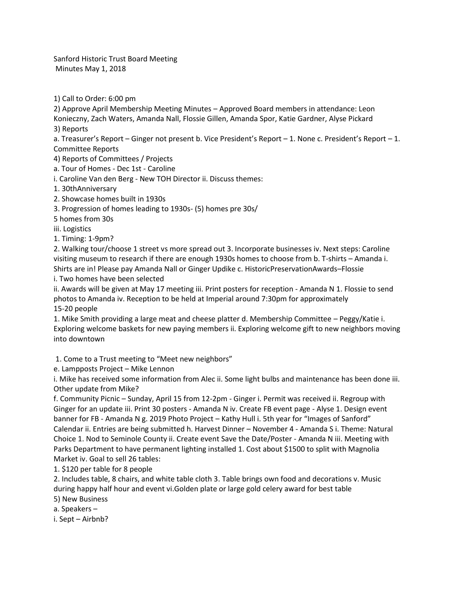Sanford Historic Trust Board Meeting Minutes May 1, 2018

1) Call to Order: 6:00 pm

2) Approve April Membership Meeting Minutes – Approved Board members in attendance: Leon

Konieczny, Zach Waters, Amanda Nall, Flossie Gillen, Amanda Spor, Katie Gardner, Alyse Pickard 3) Reports

a. Treasurer's Report – Ginger not present b. Vice President's Report – 1. None c. President's Report – 1. Committee Reports

4) Reports of Committees / Projects

a. Tour of Homes - Dec 1st - Caroline

i. Caroline Van den Berg - New TOH Director ii. Discuss themes:

1. 30thAnniversary

2. Showcase homes built in 1930s

3. Progression of homes leading to 1930s- (5) homes pre 30s/

5 homes from 30s

iii. Logistics

1. Timing: 1-9pm?

2. Walking tour/choose 1 street vs more spread out 3. Incorporate businesses iv. Next steps: Caroline visiting museum to research if there are enough 1930s homes to choose from b. T-shirts – Amanda i. Shirts are in! Please pay Amanda Nall or Ginger Updike c. HistoricPreservationAwards–Flossie

i. Two homes have been selected

ii. Awards will be given at May 17 meeting iii. Print posters for reception - Amanda N 1. Flossie to send photos to Amanda iv. Reception to be held at Imperial around 7:30pm for approximately 15-20 people

1. Mike Smith providing a large meat and cheese platter d. Membership Committee – Peggy/Katie i. Exploring welcome baskets for new paying members ii. Exploring welcome gift to new neighbors moving into downtown

1. Come to a Trust meeting to "Meet new neighbors"

e. Lampposts Project – Mike Lennon

i. Mike has received some information from Alec ii. Some light bulbs and maintenance has been done iii. Other update from Mike?

f. Community Picnic – Sunday, April 15 from 12-2pm - Ginger i. Permit was received ii. Regroup with Ginger for an update iii. Print 30 posters - Amanda N iv. Create FB event page - Alyse 1. Design event banner for FB - Amanda N g. 2019 Photo Project – Kathy Hull i. 5th year for "Images of Sanford" Calendar ii. Entries are being submitted h. Harvest Dinner – November 4 - Amanda S i. Theme: Natural Choice 1. Nod to Seminole County ii. Create event Save the Date/Poster - Amanda N iii. Meeting with Parks Department to have permanent lighting installed 1. Cost about \$1500 to split with Magnolia Market iv. Goal to sell 26 tables:

1. \$120 per table for 8 people

2. Includes table, 8 chairs, and white table cloth 3. Table brings own food and decorations v. Music during happy half hour and event vi.Golden plate or large gold celery award for best table

5) New Business

a. Speakers –

i. Sept – Airbnb?